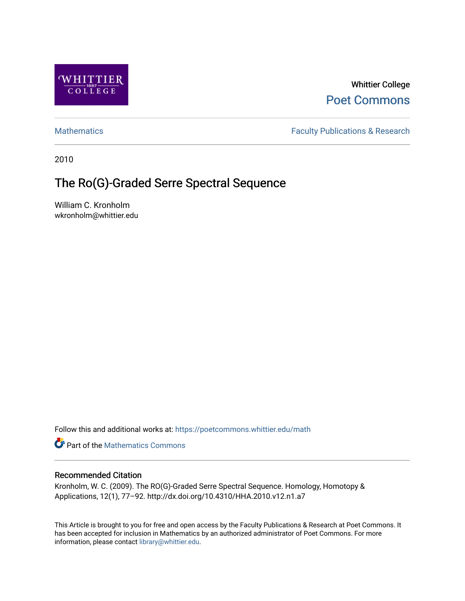

Whittier College [Poet Commons](https://poetcommons.whittier.edu/) 

[Mathematics](https://poetcommons.whittier.edu/math) **Faculty Publications & Research** 

2010

# The Ro(G)-Graded Serre Spectral Sequence

William C. Kronholm wkronholm@whittier.edu

Follow this and additional works at: [https://poetcommons.whittier.edu/math](https://poetcommons.whittier.edu/math?utm_source=poetcommons.whittier.edu%2Fmath%2F2&utm_medium=PDF&utm_campaign=PDFCoverPages)

**Part of the [Mathematics Commons](http://network.bepress.com/hgg/discipline/174?utm_source=poetcommons.whittier.edu%2Fmath%2F2&utm_medium=PDF&utm_campaign=PDFCoverPages)** 

# Recommended Citation

Kronholm, W. C. (2009). The RO(G)-Graded Serre Spectral Sequence. Homology, Homotopy & Applications, 12(1), 77–92. http://dx.doi.org/10.4310/HHA.2010.v12.n1.a7

This Article is brought to you for free and open access by the Faculty Publications & Research at Poet Commons. It has been accepted for inclusion in Mathematics by an authorized administrator of Poet Commons. For more information, please contact [library@whittier.edu.](mailto:library@whittier.edu)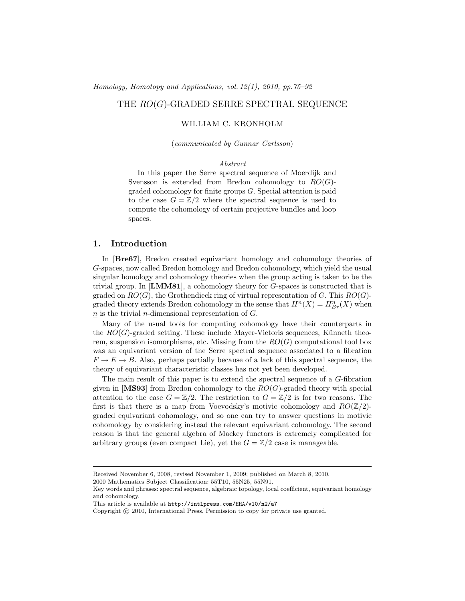Homology, Homotopy and Applications, vol. 12(1), 2010, pp.75–92

## THE  $RO(G)$ -GRADED SERRE SPECTRAL SEQUENCE

#### WILLIAM C. KRONHOLM

(communicated by Gunnar Carlsson)

#### Abstract

In this paper the Serre spectral sequence of Moerdijk and Svensson is extended from Bredon cohomology to  $RO(G)$ graded cohomology for finite groups G. Special attention is paid to the case  $G = \mathbb{Z}/2$  where the spectral sequence is used to compute the cohomology of certain projective bundles and loop spaces.

### 1. Introduction

In [Bre67], Bredon created equivariant homology and cohomology theories of G-spaces, now called Bredon homology and Bredon cohomology, which yield the usual singular homology and cohomology theories when the group acting is taken to be the trivial group. In  $[\text{LMM81}]$ , a cohomology theory for G-spaces is constructed that is graded on  $RO(G)$ , the Grothendieck ring of virtual representation of G. This  $RO(G)$ graded theory extends Bredon cohomology in the sense that  $H<sup>n</sup>(X) = H<sup>n</sup><sub>Br</sub>(X)$  when  $n$  is the trivial *n*-dimensional representation of  $G$ .

Many of the usual tools for computing cohomology have their counterparts in the  $RO(G)$ -graded setting. These include Mayer-Vietoris sequences, Künneth theorem, suspension isomorphisms, etc. Missing from the  $RO(G)$  computational tool box was an equivariant version of the Serre spectral sequence associated to a fibration  $F \to E \to B$ . Also, perhaps partially because of a lack of this spectral sequence, the theory of equivariant characteristic classes has not yet been developed.

The main result of this paper is to extend the spectral sequence of a G-fibration given in [MS93] from Bredon cohomology to the  $RO(G)$ -graded theory with special attention to the case  $G = \mathbb{Z}/2$ . The restriction to  $G = \mathbb{Z}/2$  is for two reasons. The first is that there is a map from Voevodsky's motivic cohomology and  $RO(\mathbb{Z}/2)$ graded equivariant cohomology, and so one can try to answer questions in motivic cohomology by considering instead the relevant equivariant cohomology. The second reason is that the general algebra of Mackey functors is extremely complicated for arbitrary groups (even compact Lie), yet the  $G = \mathbb{Z}/2$  case is manageable.

Received November 6, 2008, revised November 1, 2009; published on March 8, 2010.

<sup>2000</sup> Mathematics Subject Classification: 55T10, 55N25, 55N91.

Key words and phrases: spectral sequence, algebraic topology, local coefficient, equivariant homology and cohomology.

This article is available at http://intlpress.com/HHA/v10/n2/a7

Copyright © 2010, International Press. Permission to copy for private use granted.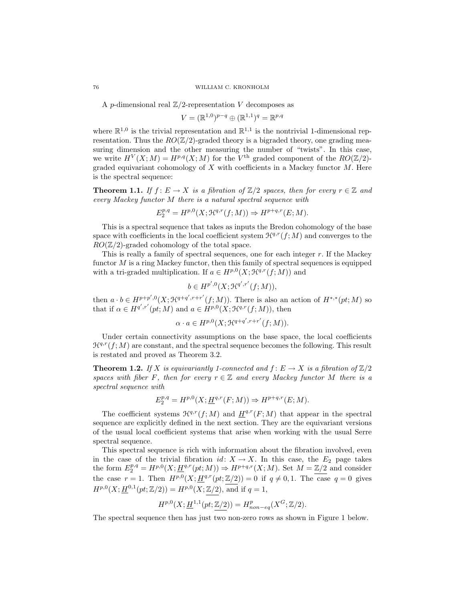A *p*-dimensional real  $\mathbb{Z}/2$ -representation V decomposes as

$$
V = (\mathbb{R}^{1,0})^{p-q} \oplus (\mathbb{R}^{1,1})^q = \mathbb{R}^{p,q}
$$

where  $\mathbb{R}^{1,0}$  is the trivial representation and  $\mathbb{R}^{1,1}$  is the nontrivial 1-dimensional representation. Thus the  $RO(\mathbb{Z}/2)$ -graded theory is a bigraded theory, one grading measuring dimension and the other measuring the number of "twists". In this case, we write  $H^V(X;M) = H^{p,q}(X;M)$  for the  $V^{\text{th}}$  graded component of the  $RO(\mathbb{Z}/2)$ graded equivariant cohomology of  $X$  with coefficients in a Mackey functor  $M$ . Here is the spectral sequence:

**Theorem 1.1.** If  $f: E \to X$  is a fibration of  $\mathbb{Z}/2$  spaces, then for every  $r \in \mathbb{Z}$  and every Mackey functor M there is a natural spectral sequence with

$$
E_2^{p,q} = H^{p,0}(X; \mathcal{H}^{q,r}(f;M)) \Rightarrow H^{p+q,r}(E;M).
$$

This is a spectral sequence that takes as inputs the Bredon cohomology of the base space with coefficients in the local coefficient system  $\mathcal{H}^{q,r}(f;M)$  and converges to the  $RO(\mathbb{Z}/2)$ -graded cohomology of the total space.

This is really a family of spectral sequences, one for each integer r. If the Mackey functor  $M$  is a ring Mackey functor, then this family of spectral sequences is equipped with a tri-graded multiplication. If  $a \in H^{p,0}(X; \mathcal{H}^{q,r}(f; M))$  and

$$
b \in H^{p',0}(X; \mathcal{H}^{q',r'}(f;M)),
$$

then  $a \cdot b \in H^{p+p',0}(X;\mathcal{H}^{q+q',r+r'}(f;M))$ . There is also an action of  $H^{*,*}(pt;M)$  so that if  $\alpha \in H^{q',r'}(pt;M)$  and  $a \in H^{p,0}(X;\mathcal{H}^{q,r}(f;M))$ , then

$$
\alpha \cdot a \in H^{p,0}(X; \mathcal{H}^{q+q', r+r'}(f; M)).
$$

Under certain connectivity assumptions on the base space, the local coefficients  $\mathcal{H}^{q,r}(f; M)$  are constant, and the spectral sequence becomes the following. This result is restated and proved as Theorem 3.2.

**Theorem 1.2.** If X is equivariantly 1-connected and  $f: E \to X$  is a fibration of  $\mathbb{Z}/2$ spaces with fiber F, then for every  $r \in \mathbb{Z}$  and every Mackey functor M there is a spectral sequence with

$$
E_2^{p,q} = H^{p,0}(X; \underline{H}^{q,r}(F;M)) \Rightarrow H^{p+q,r}(E;M).
$$

The coefficient systems  $\mathcal{H}^{q,r}(f;M)$  and  $\underline{H}^{q,r}(F;M)$  that appear in the spectral sequence are explicitly defined in the next section. They are the equivariant versions of the usual local coefficient systems that arise when working with the usual Serre spectral sequence.

This spectral sequence is rich with information about the fibration involved, even in the case of the trivial fibration  $id: X \to X$ . In this case, the  $E_2$  page takes the form  $E_2^{p,q} = H^{p,0}(X; \underline{H}^{q,r}(pt; M)) \Rightarrow H^{p+q,r}(X; M)$ . Set  $M = \mathbb{Z}/2$  and consider the case  $r = 1$ . Then  $H^{p,0}(X; \underline{H}^{q,r}(pt;\mathbb{Z}/2)) = 0$  if  $q \neq 0, 1$ . The case  $q = 0$  gives  $H^{p,0}(X; \underline{H}^{0,1}(pt;\mathbb{Z}/2)) = H^{p,0}(X;\mathbb{Z}/2)$ , and if  $q = 1$ ,

$$
H^{p,0}(X; \underline{H}^{1,1}(pt;\mathbb{Z}/2)) = H^p_{non-eq}(X^G;\mathbb{Z}/2).
$$

The spectral sequence then has just two non-zero rows as shown in Figure 1 below.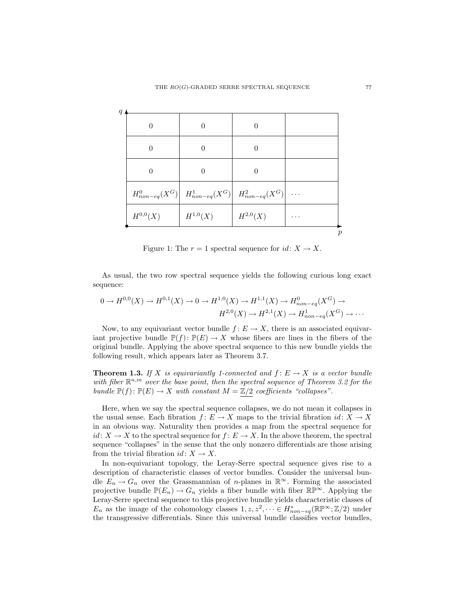| 0            |                                                                      |              |  |
|--------------|----------------------------------------------------------------------|--------------|--|
|              |                                                                      |              |  |
|              | $H^0_{non-eq}(X^G)$ $H^1_{non-eq}(X^G)$ $H^2_{non-eq}(X^G)$ $\cdots$ |              |  |
| $H^{0,0}(X)$ | $H^{1,0}(X)$                                                         | $H^{2,0}(X)$ |  |
|              |                                                                      |              |  |

Figure 1: The  $r = 1$  spectral sequence for  $id: X \to X$ .

As usual, the two row spectral sequence yields the following curious long exact sequence:

$$
0 \to H^{0,0}(X) \to H^{0,1}(X) \to 0 \to H^{1,0}(X) \to H^{1,1}(X) \to H^{0}_{non-eq}(X^G) \to
$$
  

$$
H^{2,0}(X) \to H^{2,1}(X) \to H^{1}_{non-eq}(X^G) \to \cdots
$$

Now, to any equivariant vector bundle  $f: E \to X$ , there is an associated equivariant projective bundle  $\mathbb{P}(f): \mathbb{P}(E) \to X$  whose fibers are lines in the fibers of the original bundle. Applying the above spectral sequence to this new bundle yields the following result, which appears later as Theorem 3.7.

**Theorem 1.3.** If X is equivariantly 1-connected and  $f: E \to X$  is a vector bundle with fiber  $\mathbb{R}^{n,m}$  over the base point, then the spectral sequence of Theorem 3.2 for the bundle  $\mathbb{P}(f): \mathbb{P}(E) \to X$  with constant  $M = \mathbb{Z}/2$  coefficients "collapses".

Here, when we say the spectral sequence collapses, we do not mean it collapses in the usual sense. Each fibration  $f: E \to X$  maps to the trivial fibration  $id: X \to X$ in an obvious way. Naturality then provides a map from the spectral sequence for  $id: X \to X$  to the spectral sequence for  $f: E \to X$ . In the above theorem, the spectral sequence "collapses" in the sense that the only nonzero differentials are those arising from the trivial fibration  $id: X \to X$ .

In non-equivariant topology, the Leray-Serre spectral sequence gives rise to a description of characteristic classes of vector bundles. Consider the universal bundle  $E_n \to G_n$  over the Grassmannian of *n*-planes in  $\mathbb{R}^\infty$ . Forming the associated projective bundle  $\mathbb{P}(E_n) \to G_n$  yields a fiber bundle with fiber  $\mathbb{RP}^{\infty}$ . Applying the Leray-Serre spectral sequence to this projective bundle yields characteristic classes of  $E_n$  as the image of the cohomology classes  $1, z, z^2, \dots \in H_{non-eq}^*(\mathbb{RP}^\infty; \mathbb{Z}/2)$  under the transgressive differentials. Since this universal bundle classifies vector bundles,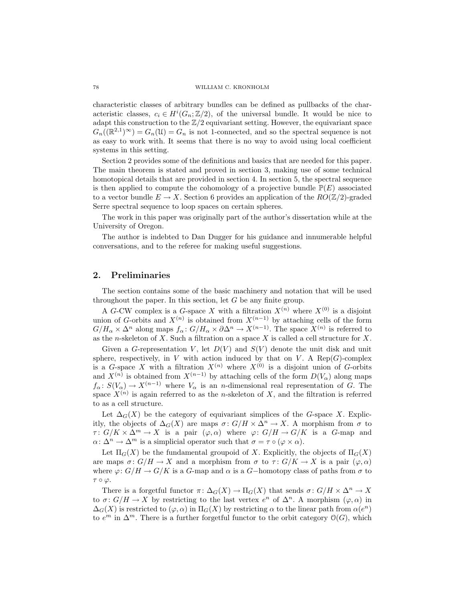characteristic classes of arbitrary bundles can be defined as pullbacks of the characteristic classes,  $c_i \in H^i(G_n; \mathbb{Z}/2)$ , of the universal bundle. It would be nice to adapt this construction to the  $\mathbb{Z}/2$  equivariant setting. However, the equivariant space  $G_n((\mathbb{R}^{2,1})^{\infty}) = G_n(\mathfrak{U}) = G_n$  is not 1-connected, and so the spectral sequence is not as easy to work with. It seems that there is no way to avoid using local coefficient systems in this setting.

Section 2 provides some of the definitions and basics that are needed for this paper. The main theorem is stated and proved in section 3, making use of some technical homotopical details that are provided in section 4. In section 5, the spectral sequence is then applied to compute the cohomology of a projective bundle  $\mathbb{P}(E)$  associated to a vector bundle  $E \to X$ . Section 6 provides an application of the  $RO(\mathbb{Z}/2)$ -graded Serre spectral sequence to loop spaces on certain spheres.

The work in this paper was originally part of the author's dissertation while at the University of Oregon.

The author is indebted to Dan Dugger for his guidance and innumerable helpful conversations, and to the referee for making useful suggestions.

### 2. Preliminaries

The section contains some of the basic machinery and notation that will be used throughout the paper. In this section, let  $G$  be any finite group.

A G-CW complex is a G-space X with a filtration  $X^{(n)}$  where  $X^{(0)}$  is a disjoint union of G-orbits and  $X^{(n)}$  is obtained from  $X^{(n-1)}$  by attaching cells of the form  $G/H_\alpha \times \Delta^n$  along maps  $f_\alpha: G/H_\alpha \times \partial \Delta^n \to X^{(n-1)}$ . The space  $X^{(n)}$  is referred to as the n-skeleton of X. Such a filtration on a space  $X$  is called a cell structure for X.

Given a G-representation V, let  $D(V)$  and  $S(V)$  denote the unit disk and unit sphere, respectively, in V with action induced by that on V. A Rep( $G$ )-complex is a G-space X with a filtration  $X^{(n)}$  where  $X^{(0)}$  is a disjoint union of G-orbits and  $X^{(n)}$  is obtained from  $X^{(n-1)}$  by attaching cells of the form  $D(V_\alpha)$  along maps  $f_{\alpha}: S(V_{\alpha}) \to X^{(n-1)}$  where  $V_{\alpha}$  is an *n*-dimensional real representation of G. The space  $X^{(n)}$  is again referred to as the *n*-skeleton of X, and the filtration is referred to as a cell structure.

Let  $\Delta_G(X)$  be the category of equivariant simplices of the G-space X. Explicitly, the objects of  $\Delta_G(X)$  are maps  $\sigma: G/H \times \Delta^n \to X$ . A morphism from  $\sigma$  to  $\tau: G/K \times \Delta^m \to X$  is a pair  $(\varphi, \alpha)$  where  $\varphi: G/H \to G/K$  is a G-map and  $\alpha: \Delta^n \to \Delta^m$  is a simplicial operator such that  $\sigma = \tau \circ (\varphi \times \alpha)$ .

Let  $\Pi_G(X)$  be the fundamental groupoid of X. Explicitly, the objects of  $\Pi_G(X)$ are maps  $\sigma: G/H \to X$  and a morphism from  $\sigma$  to  $\tau: G/K \to X$  is a pair  $(\varphi, \alpha)$ where  $\varphi: G/H \to G/K$  is a G-map and  $\alpha$  is a G-homotopy class of paths from  $\sigma$  to  $τ ∘ φ.$ 

There is a forgetful functor  $\pi \colon \Delta_G(X) \to \Pi_G(X)$  that sends  $\sigma \colon G/H \times \Delta^n \to X$ to  $\sigma: G/H \to X$  by restricting to the last vertex  $e^n$  of  $\Delta^n$ . A morphism  $(\varphi, \alpha)$  in  $\Delta_G(X)$  is restricted to  $(\varphi, \alpha)$  in  $\Pi_G(X)$  by restricting  $\alpha$  to the linear path from  $\alpha(e^n)$ to  $e^m$  in  $\Delta^m$ . There is a further forgetful functor to the orbit category  $\mathcal{O}(G)$ , which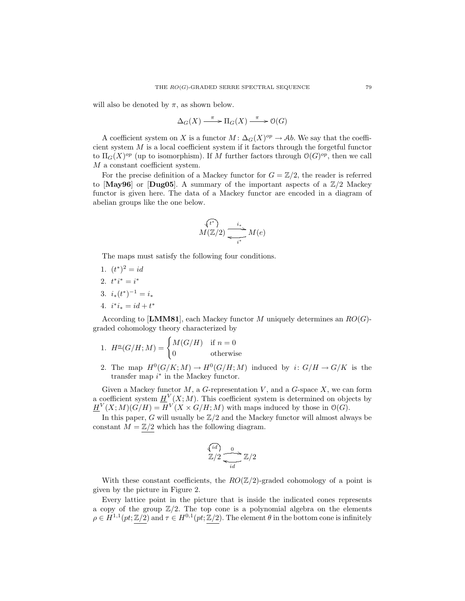will also be denoted by  $\pi$ , as shown below.

$$
\Delta_G(X) \xrightarrow{\pi} \Pi_G(X) \xrightarrow{\pi} \mathcal{O}(G)
$$

A coefficient system on X is a functor  $M: \Delta_G(X)^{op} \to Ab$ . We say that the coefficient system  $M$  is a local coefficient system if it factors through the forgetful functor to  $\Pi_G(X)^{op}$  (up to isomorphism). If M further factors through  $O(G)^{op}$ , then we call M a constant coefficient system.

For the precise definition of a Mackey functor for  $G = \mathbb{Z}/2$ , the reader is referred to [May96] or [Dug05]. A summary of the important aspects of a  $\mathbb{Z}/2$  Mackey functor is given here. The data of a Mackey functor are encoded in a diagram of abelian groups like the one below.

$$
\overbrace{M(\mathbb{Z}/2)}^{\{t^*\}} \xrightarrow[i^*]{i_*} M(e)
$$

The maps must satisfy the following four conditions.

- 1.  $(t^*)^2 = id$
- 2.  $t^*i^* = i^*$
- 3.  $i_*(t^*)^{-1} = i_*$
- 4.  $i^*i_* = id + t^*$

According to [LMM81], each Mackey functor M uniquely determines an  $RO(G)$ graded cohomology theory characterized by

1. 
$$
H^{n}(G/H; M) = \begin{cases} M(G/H) & \text{if } n = 0 \\ 0 & \text{otherwise} \end{cases}
$$

2. The map  $H^0(G/K;M) \to H^0(G/H;M)$  induced by  $i: G/H \to G/K$  is the transfer map  $i^*$  in the Mackey functor.

Given a Mackey functor  $M$ , a G-representation  $V$ , and a G-space  $X$ , we can form a coefficient system  $H^V(X;M)$ . This coefficient system is determined on objects by  $H^V(X;M)(G/H) = H^V(X \times G/H;M)$  with maps induced by those in  $\mathcal{O}(G)$ .

In this paper, G will usually be  $\mathbb{Z}/2$  and the Mackey functor will almost always be constant  $M=\mathbb{Z}/2$  which has the following diagram.

$$
\overbrace{\mathbb{Z}}^{id} \rightarrow 0
$$
  

$$
\overbrace{\mathbb{Z}}^{id} \mathbb{Z}/2
$$

With these constant coefficients, the  $RO(\mathbb{Z}/2)$ -graded cohomology of a point is given by the picture in Figure 2.

Every lattice point in the picture that is inside the indicated cones represents a copy of the group  $\mathbb{Z}/2$ . The top cone is a polynomial algebra on the elements  $\rho \in H^{1,1}(pt;\mathbb{Z}/2)$  and  $\tau \in H^{0,1}(pt;\mathbb{Z}/2)$ . The element  $\theta$  in the bottom cone is infinitely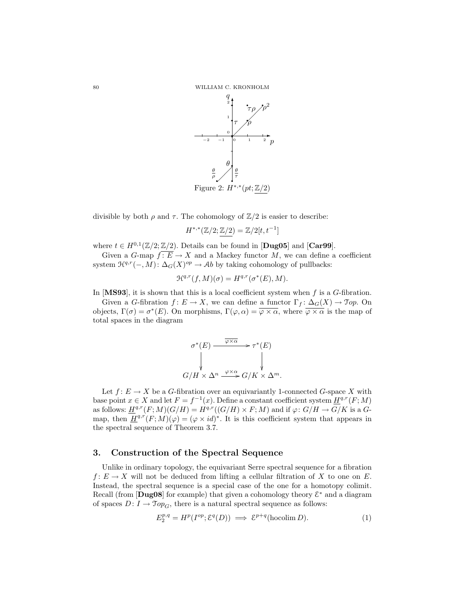

divisible by both  $\rho$  and  $\tau$ . The cohomology of  $\mathbb{Z}/2$  is easier to describe:

 $H^{*,*}(\mathbb{Z}/2;\mathbb{Z}/2)=\mathbb{Z}/2[t,t^{-1}]$ 

where  $t \in H^{0,1}(\mathbb{Z}/2;\mathbb{Z}/2)$ . Details can be found in [**Dug05**] and [**Car99**].

Given a  $G$ -map  $f: E \to X$  and a Mackey functor M, we can define a coefficient system  $\mathcal{H}^{q,r}(-,M)$ :  $\Delta_G(X)^{op} \to Ab$  by taking cohomology of pullbacks:

$$
\mathcal{H}^{q,r}(f,M)(\sigma) = H^{q,r}(\sigma^*(E),M).
$$

In  $[MS93]$ , it is shown that this is a local coefficient system when f is a G-fibration.

Given a G-fibration  $f: E \to X$ , we can define a functor  $\Gamma_f: \Delta_G(X) \to \mathfrak{Top}$ . On objects,  $\Gamma(\sigma) = \sigma^*(E)$ . On morphisms,  $\Gamma(\varphi, \alpha) = \overline{\varphi \times \alpha}$ , where  $\overline{\varphi \times \alpha}$  is the map of total spaces in the diagram

$$
\sigma^*(E) \xrightarrow{\overline{\varphi \times \alpha}} \tau^*(E)
$$
  
\n
$$
\downarrow \qquad \qquad \downarrow
$$
  
\n
$$
G/H \times \Delta^n \xrightarrow{\varphi \times \alpha} G/K \times \Delta^m.
$$

Let  $f: E \to X$  be a G-fibration over an equivariantly 1-connected G-space X with base point  $x \in X$  and let  $F = f^{-1}(x)$ . Define a constant coefficient system  $H^{q,r}(F;M)$ as follows:  $\underline{H}^{q,r}(F;M)(G/H) = H^{q,r}((G/H) \times F;M)$  and if  $\varphi: G/H \to G/K$  is a  $G$ map, then  $H^{q,r}(F;M)(\varphi) = (\varphi \times id)^*$ . It is this coefficient system that appears in the spectral sequence of Theorem 3.7.

#### 3. Construction of the Spectral Sequence

Unlike in ordinary topology, the equivariant Serre spectral sequence for a fibration  $f: E \to X$  will not be deduced from lifting a cellular filtration of X to one on E. Instead, the spectral sequence is a special case of the one for a homotopy colimit. Recall (from  $\text{[Dug08]}$  for example) that given a cohomology theory  $\mathcal{E}^*$  and a diagram of spaces  $D: I \to \mathcal{T}\mathit{op}_G$ , there is a natural spectral sequence as follows:

$$
E_2^{p,q} = H^p(I^{op}; \mathcal{E}^q(D)) \implies \mathcal{E}^{p+q}(\text{hocolim } D). \tag{1}
$$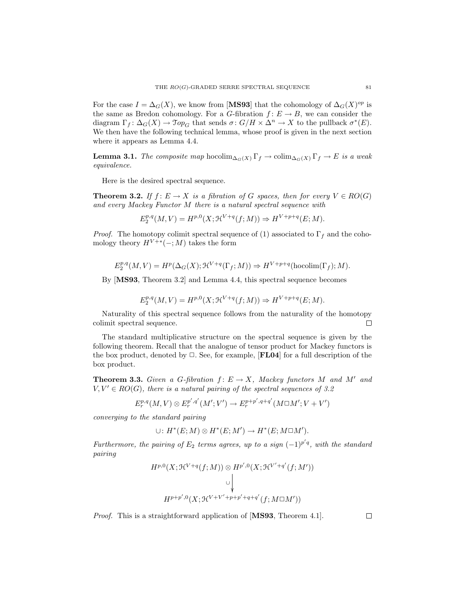For the case  $I = \Delta_G(X)$ , we know from [MS93] that the cohomology of  $\Delta_G(X)^{op}$  is the same as Bredon cohomology. For a G-fibration  $f: E \to B$ , we can consider the diagram  $\Gamma_f: \Delta_G(X) \to \mathfrak{Top}_G$  that sends  $\sigma: G/H \times \Delta^n \to X$  to the pullback  $\sigma^*(E)$ . We then have the following technical lemma, whose proof is given in the next section where it appears as Lemma 4.4.

**Lemma 3.1.** The composite map hocolim<sub> $\Delta_G(X)$ </sub>  $\Gamma_f \to$  colim $\Delta_G(X)$  $\Gamma_f \to E$  is a weak equivalence.

Here is the desired spectral sequence.

**Theorem 3.2.** If  $f: E \to X$  is a fibration of G spaces, then for every  $V \in RO(G)$ and every Mackey Functor M there is a natural spectral sequence with

$$
E_2^{p,q}(M,V) = H^{p,0}(X; \mathcal{H}^{V+q}(f;M)) \Rightarrow H^{V+p+q}(E;M).
$$

*Proof.* The homotopy colimit spectral sequence of (1) associated to  $\Gamma_f$  and the cohomology theory  $H^{V+\ast}(-;M)$  takes the form

$$
E_2^{p,q}(M,V) = H^p(\Delta_G(X); \mathcal{H}^{V+q}(\Gamma_f;M)) \Rightarrow H^{V+p+q}(\text{hocolim}(\Gamma_f);M).
$$

By [MS93, Theorem 3.2] and Lemma 4.4, this spectral sequence becomes

$$
E_2^{p,q}(M,V) = H^{p,0}(X; \mathcal{H}^{V+q}(f;M)) \Rightarrow H^{V+p+q}(E;M).
$$

Naturality of this spectral sequence follows from the naturality of the homotopy colimit spectral sequence.  $\Box$ 

The standard multiplicative structure on the spectral sequence is given by the following theorem. Recall that the analogue of tensor product for Mackey functors is the box product, denoted by  $\Box$ . See, for example,  $[\mathbf{FLO4}]$  for a full description of the box product.

**Theorem 3.3.** Given a G-fibration  $f: E \to X$ , Mackey functors M and M' and  $V, V' \in RO(G)$ , there is a natural pairing of the spectral sequences of 3.2

$$
E_r^{p,q}(M,V)\otimes E_r^{p',q'}(M';V')\to E_r^{p+p',q+q'}(M\square M';V+V')
$$

converging to the standard pairing

$$
\cup: H^*(E;M) \otimes H^*(E;M') \to H^*(E;M\square M').
$$

Furthermore, the pairing of  $E_2$  terms agrees, up to a sign  $(-1)^{p'q}$ , with the standard pairing

$$
H^{p,0}(X; \mathcal{H}^{V+q}(f;M)) \otimes H^{p',0}(X; \mathcal{H}^{V'+q'}(f;M'))
$$
  
\n
$$
\cup \left\downarrow
$$
  
\n
$$
H^{p+p',0}(X; \mathcal{H}^{V+V'+p+p'+q+q'}(f; M \Box M'))
$$

Proof. This is a straightforward application of [MS93, Theorem 4.1].

 $\Box$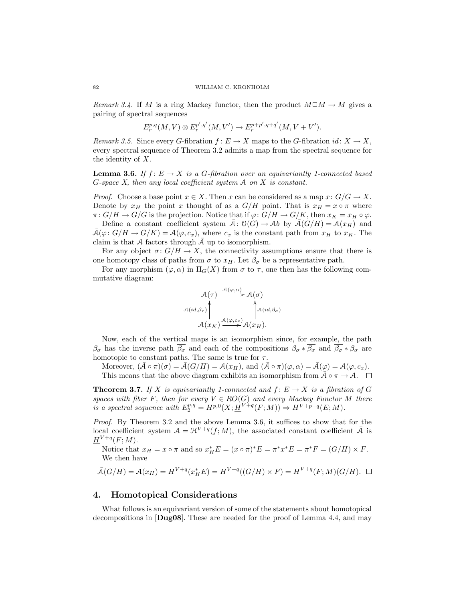Remark 3.4. If M is a ring Mackey functor, then the product  $M \Box M \rightarrow M$  gives a pairing of spectral sequences

$$
E_r^{p,q}(M,V) \otimes E_r^{p',q'}(M,V') \to E_r^{p+p',q+q'}(M,V+V').
$$

Remark 3.5. Since every G-fibration  $f: E \to X$  maps to the G-fibration  $id: X \to X$ , every spectral sequence of Theorem 3.2 admits a map from the spectral sequence for the identity of X.

**Lemma 3.6.** If  $f: E \to X$  is a G-fibration over an equivariantly 1-connected based G-space X, then any local coefficient system  $A$  on  $X$  is constant.

*Proof.* Choose a base point  $x \in X$ . Then x can be considered as a map  $x: G/G \to X$ . Denote by  $x_H$  the point x thought of as a  $G/H$  point. That is  $x_H = x \circ \pi$  where  $\pi: G/H \to G/G$  is the projection. Notice that if  $\varphi: G/H \to G/K$ , then  $x_K = x_H \circ \varphi$ .

Define a constant coefficient system  $A: \mathcal{O}(G) \to Ab$  by  $\mathcal{A}(G/H) = \mathcal{A}(x_H)$  and  $\bar{\mathcal{A}}(\varphi: G/H \to G/K) = \mathcal{A}(\varphi, c_x)$ , where  $c_x$  is the constant path from  $x_H$  to  $x_K$ . The claim is that  $A$  factors through  $A$  up to isomorphism.

For any object  $\sigma: G/H \to X$ , the connectivity assumptions ensure that there is one homotopy class of paths from  $\sigma$  to  $x_H$ . Let  $\beta_{\sigma}$  be a representative path.

For any morphism  $(\varphi, \alpha)$  in  $\Pi_G(X)$  from  $\sigma$  to  $\tau$ , one then has the following commutative diagram:



Now, each of the vertical maps is an isomorphism since, for example, the path  $\beta_{\sigma}$  has the inverse path  $\overline{\beta_{\sigma}}$  and each of the compositions  $\beta_{\sigma} * \overline{\beta_{\sigma}}$  and  $\overline{\beta_{\sigma}} * \beta_{\sigma}$  are homotopic to constant paths. The same is true for  $\tau$ .

Moreover,  $(\bar{\mathcal{A}} \circ \pi)(\sigma) = \bar{\mathcal{A}}(G/H) = \mathcal{A}(x_H)$ , and  $(\bar{\mathcal{A}} \circ \pi)(\varphi, \alpha) = \bar{\mathcal{A}}(\varphi) = \mathcal{A}(\varphi, c_x)$ . This means that the above diagram exhibits an isomorphism from  $\bar{\mathcal{A}} \circ \pi \to \mathcal{A}$ .  $\Box$ 

**Theorem 3.7.** If X is equivariantly 1-connected and  $f : E \to X$  is a fibration of G spaces with fiber F, then for every  $V \in RO(G)$  and every Mackey Functor M there is a spectral sequence with  $E_2^{p,q} = H^{p,0}(X; \underline{H}^{V+q}(F;M)) \Rightarrow H^{V+p+q}(E;M)$ .

Proof. By Theorem 3.2 and the above Lemma 3.6, it suffices to show that for the local coefficient system  $A = \mathcal{H}^{V+q}(f;M)$ , the associated constant coefficient  $\overline{A}$  is  $\underline{H}^{V+q}(F;M).$ 

Notice that  $x_H = x \circ \pi$  and so  $x_H^* E = (x \circ \pi)^* E = \pi^* x^* E = \pi^* F = (G/H) \times F$ . We then have

$$
\bar{\mathcal{A}}(G/H) = \mathcal{A}(x_H) = H^{V+q}(x_H^* E) = H^{V+q}((G/H) \times F) = \underline{H}^{V+q}(F;M)(G/H). \quad \Box
$$

#### 4. Homotopical Considerations

What follows is an equivariant version of some of the statements about homotopical decompositions in [Dug08]. These are needed for the proof of Lemma 4.4, and may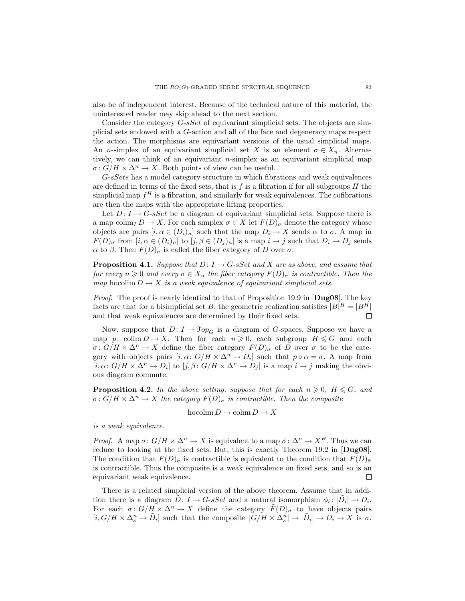also be of independent interest. Because of the technical nature of this material, the uninterested reader may skip ahead to the next section.

Consider the category *G-sSet* of equivariant simplicial sets. The objects are simplicial sets endowed with a G-action and all of the face and degeneracy maps respect the action. The morphisms are equivariant versions of the usual simplicial maps. An n-simplex of an equivariant simplicial set X is an element  $\sigma \in X_n$ . Alternatively, we can think of an equivariant  $n$ -simplex as an equivariant simplicial map  $\sigma: G/H \times \Delta^n \to X$ . Both points of view can be useful.

G-sSets has a model category structure in which fibrations and weak equivalences are defined in terms of the fixed sets, that is  $f$  is a fibration if for all subgroups  $H$  the simplicial map  $f^H$  is a fibration, and similarly for weak equivalences. The cofibrations are then the maps with the appropriate lifting properties.

Let  $D: I \rightarrow G$ -s Set be a diagram of equivariant simplicial sets. Suppose there is a map colim<sub>I</sub>  $D \to X$ . For each simplex  $\sigma \in X$  let  $F(D)_{\sigma}$  denote the category whose objects are pairs  $[i, \alpha \in (D_i)_n]$  such that the map  $D_i \to X$  sends  $\alpha$  to  $\sigma$ . A map in  $F(D)_{\sigma}$  from  $[i, \alpha \in (D_i)_n]$  to  $[j, \beta \in (D_j)_n]$  is a map  $i \to j$  such that  $D_i \to D_j$  sends  $\alpha$  to  $\beta$ . Then  $F(D)_{\sigma}$  is called the fiber category of D over  $\sigma$ .

**Proposition 4.1.** Suppose that  $D: I \rightarrow G$ -sSet and X are as above, and assume that for every  $n \geq 0$  and every  $\sigma \in X_n$  the fiber category  $F(D)_{\sigma}$  is contractible. Then the map hocolim  $D \to X$  is a weak equivalence of equivariant simplicial sets.

Proof. The proof is nearly identical to that of Proposition 19.9 in [Dug08]. The key facts are that for a bisimplicial set B, the geometric realization satisfies  $|B|^H = |B^H|$ and that weak equivalences are determined by their fixed sets.  $\Box$ 

Now, suppose that  $D: I \to \mathfrak{Top}_G$  is a diagram of G-spaces. Suppose we have a map p: colim  $D \to X$ . Then for each  $n \geq 0$ , each subgroup  $H \leq G$  and each  $\sigma: G/H \times \Delta^n \to X$  define the fiber category  $F(D)_{\sigma}$  of D over  $\sigma$  to be the category with objects pairs  $[i, \alpha: G/H \times \Delta^n \to D_i]$  such that  $p \circ \alpha = \sigma$ . A map from  $[i, \alpha: G/H \times \Delta^n \to D_i]$  to  $[j, \beta: G/H \times \Delta^n \to D_j]$  is a map  $i \to j$  making the obvious diagram commute.

**Proposition 4.2.** In the above setting, suppose that for each  $n \geq 0$ ,  $H \leq G$ , and  $\sigma: G/H \times \Delta^n \to X$  the category  $F(D)_{\sigma}$  is contractible. Then the composite

hocolim  $D \to \text{colim } D \to X$ 

is a weak equivalence.

*Proof.* A map  $\sigma: G/H \times \Delta^n \to X$  is equivalent to a map  $\bar{\sigma}: \Delta^n \to X^H$ . Thus we can reduce to looking at the fixed sets. But, this is exactly Theorem 19.2 in [Dug08]. The condition that  $F(D)_{\sigma}$  is contractible is equivalent to the condition that  $F(D)_{\bar{\sigma}}$ is contractible. Thus the composite is a weak equivalence on fixed sets, and so is an equivariant weak equivalence.  $\Box$ 

There is a related simplicial version of the above theorem. Assume that in addition there is a diagram  $\tilde{D}$ :  $I \to G$ -sSet and a natural isomorphism  $\phi_i$ :  $|\tilde{D}_i| \to D_i$ . For each  $\sigma: G/H \times \Delta^n \to X$  define the category  $\tilde{F}(D)_{\sigma}$  to have objects pairs  $[i, G/H \times \Delta_s^n \to \tilde{D}_i]$  such that the composite  $|G/H \times \Delta_s^n| \to |\tilde{D}_i| \to D_i \to X$  is  $\sigma$ .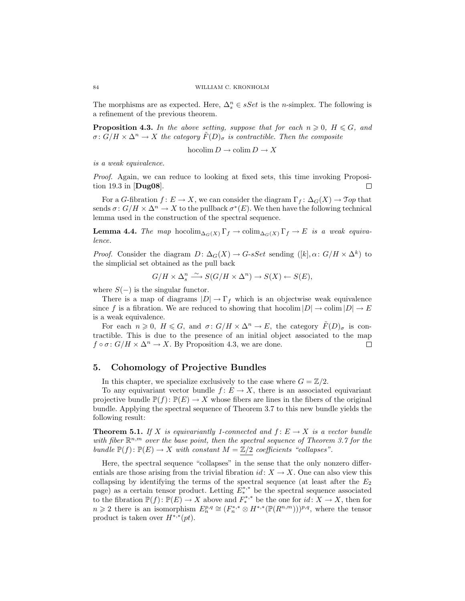The morphisms are as expected. Here,  $\Delta_s^n \in sSet$  is the *n*-simplex. The following is a refinement of the previous theorem.

**Proposition 4.3.** In the above setting, suppose that for each  $n \geqslant 0$ ,  $H \leqslant G$ , and  $\sigma: G/H \times \Delta^n \to X$  the category  $\tilde{F}(D)_{\sigma}$  is contractible. Then the composite

hocolim  $D \to \text{colim } D \to X$ 

is a weak equivalence.

Proof. Again, we can reduce to looking at fixed sets, this time invoking Proposition 19.3 in [Dug08]. П

For a G-fibration  $f: E \to X$ , we can consider the diagram  $\Gamma_f: \Delta_G(X) \to \mathfrak{Top}$  that sends  $\sigma: G/H \times \Delta^n \to X$  to the pullback  $\sigma^*(E)$ . We then have the following technical lemma used in the construction of the spectral sequence.

**Lemma 4.4.** The map hocolim<sub> $\Delta_G(X)$ </sub>  $\Gamma_f \to \text{colim}_{\Delta_G(X)}$   $\Gamma_f \to E$  is a weak equivalence.

*Proof.* Consider the diagram  $D: \Delta_G(X) \to G$ -sSet sending  $([k], \alpha: G/H \times \Delta^k)$  to the simplicial set obtained as the pull back

$$
G/H \times \Delta_s^n \xrightarrow{\sim} S(G/H \times \Delta^n) \to S(X) \leftarrow S(E),
$$

where  $S(-)$  is the singular functor.

There is a map of diagrams  $|D| \to \Gamma_f$  which is an objectwise weak equivalence since f is a fibration. We are reduced to showing that hocolim  $|D| \to \text{colim } |D| \to E$ is a weak equivalence.

For each  $n \geq 0$ ,  $H \leq G$ , and  $\sigma: G/H \times \Delta^n \to E$ , the category  $\tilde{F}(D)_{\sigma}$  is contractible. This is due to the presence of an initial object associated to the map  $f \circ \sigma : G/H \times \Delta^n \to X$ . By Proposition 4.3, we are done.  $\Box$ 

#### 5. Cohomology of Projective Bundles

In this chapter, we specialize exclusively to the case where  $G = \mathbb{Z}/2$ .

To any equivariant vector bundle  $f: E \to X$ , there is an associated equivariant projective bundle  $\mathbb{P}(f): \mathbb{P}(E) \to X$  whose fibers are lines in the fibers of the original bundle. Applying the spectral sequence of Theorem 3.7 to this new bundle yields the following result:

**Theorem 5.1.** If X is equivariantly 1-connected and  $f: E \to X$  is a vector bundle with fiber  $\mathbb{R}^{n,m}$  over the base point, then the spectral sequence of Theorem 3.7 for the bundle  $\mathbb{P}(f): \mathbb{P}(E) \to X$  with constant  $M = \mathbb{Z}/2$  coefficients "collapses".

Here, the spectral sequence "collapses" in the sense that the only nonzero differentials are those arising from the trivial fibration  $id: X \to X$ . One can also view this collapsing by identifying the terms of the spectral sequence (at least after the  $E_2$ page) as a certain tensor product. Letting  $E_*^{*,*}$  be the spectral sequence associated to the fibration  $\mathbb{P}(f): \mathbb{P}(E) \to X$  above and  $F_*^{*,*}$  be the one for  $id: X \to X$ , then for  $n \geq 2$  there is an isomorphism  $E_n^{p,q} \cong (F_n^{*,*} \otimes H^{*,*}(\mathbb{P}(R^{n,m})))^{p,q}$ , where the tensor product is taken over  $H^{*,*}(pt)$ .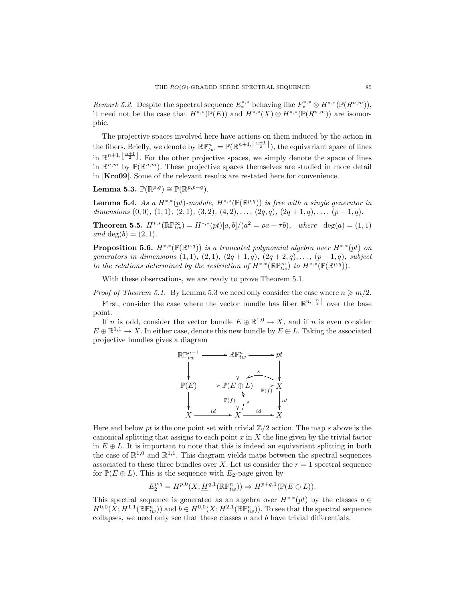Remark 5.2. Despite the spectral sequence  $E_*^{*,*}$  behaving like  $F_*^{*,*} \otimes H^{*,*}(\mathbb{P}(R^{n,m}))$ , it need not be the case that  $H^{*,*}(\mathbb{P}(E))$  and  $H^{*,*}(X) \otimes H^{*,*}(\mathbb{P}(R^{n,m}))$  are isomorphic.

The projective spaces involved here have actions on them induced by the action in the fibers. Briefly, we denote by  $\mathbb{RP}_{tw}^n = \mathbb{P}(\mathbb{R}^{n+1, \left\lfloor \frac{n+1}{2} \right\rfloor})$ , the equivariant space of lines in  $\mathbb{R}^{n+1,\lfloor \frac{n+1}{2} \rfloor}$ . For the other projective spaces, we simply denote the space of lines in  $\mathbb{R}^{n,m}$  by  $\mathbb{P}(\mathbb{R}^{n,m})$ . These projective spaces themselves are studied in more detail in [Kro09]. Some of the relevant results are restated here for convenience.

Lemma 5.3.  $\mathbb{P}(\mathbb{R}^{p,q}) \cong \mathbb{P}(\mathbb{R}^{p,p-q})$ .

**Lemma 5.4.** As a  $H^{*,*}(pt)$ -module,  $H^{*,*}(\mathbb{P}(\mathbb{R}^{p,q}))$  is free with a single generator in dimensions  $(0, 0), (1, 1), (2, 1), (3, 2), (4, 2), \ldots, (2q, q), (2q + 1, q), \ldots, (p - 1, q).$ 

**Theorem 5.5.**  $H^{*,*}(\mathbb{R} \mathbb{P}^\infty_{tw}) = H^{*,*}(pt)[a, b]/(a^2 = \rho a + \tau b)$ , where  $\deg(a) = (1, 1)$ and deg(b) =  $(2, 1)$ .

**Proposition 5.6.**  $H^{*,*}(\mathbb{P}(\mathbb{R}^{p,q}))$  is a truncated polynomial algebra over  $H^{*,*}(pt)$  on generators in dimensions  $(1, 1), (2, 1), (2q + 1, q), (2q + 2, q), \ldots, (p - 1, q)$ , subject to the relations determined by the restriction of  $H^{*,*}(\mathbb{R}\mathbb{P}^\infty_{tw})$  to  $H^{*,*}(\mathbb{P}(\mathbb{R}^{p,q}))$ .

With these observations, we are ready to prove Theorem 5.1.

*Proof of Theorem 5.1.* By Lemma 5.3 we need only consider the case where  $n \geq n/2$ .

First, consider the case where the vector bundle has fiber  $\mathbb{R}^{n,\lfloor \frac{n}{2} \rfloor}$  over the base point.

If n is odd, consider the vector bundle  $E \oplus \mathbb{R}^{1,0} \to X$ , and if n is even consider  $E \oplus \mathbb{R}^{1,1} \to X$ . In either case, denote this new bundle by  $E \oplus L$ . Taking the associated projective bundles gives a diagram

$$
\mathbb{R}\mathbb{P}_{tw}^{n-1} \longrightarrow \mathbb{R}\mathbb{P}_{tw}^{n} \longrightarrow pt
$$
\n
$$
\downarrow \qquad \qquad \downarrow \qquad \qquad \downarrow
$$
\n
$$
\mathbb{P}(E) \longrightarrow \mathbb{P}(E \oplus L) \longrightarrow \downarrow
$$
\n
$$
\downarrow \qquad \qquad \mathbb{P}(f) \downarrow \downarrow s
$$
\n
$$
\downarrow \qquad \qquad \downarrow \qquad \downarrow id
$$
\n
$$
X \longrightarrow \frac{id}{X} \longrightarrow X
$$

Here and below pt is the one point set with trivial  $\mathbb{Z}/2$  action. The map s above is the canonical splitting that assigns to each point  $x$  in  $X$  the line given by the trivial factor in  $E \oplus L$ . It is important to note that this is indeed an equivariant splitting in both the case of  $\mathbb{R}^{1,0}$  and  $\mathbb{R}^{1,1}$ . This diagram yields maps between the spectral sequences associated to these three bundles over X. Let us consider the  $r = 1$  spectral sequence for  $\mathbb{P}(E \oplus L)$ . This is the sequence with  $E_2$ -page given by

$$
E_2^{p,q} = H^{p,0}(X; \underline{H}^{q,1}(\mathbb{R}\mathbb{P}^n_{tw})) \Rightarrow H^{p+q,1}(\mathbb{P}(E \oplus L)).
$$

This spectral sequence is generated as an algebra over  $H^{*,*}(pt)$  by the classes  $a \in$  $H^{0,0}(X; H^{1,1}(\mathbb{R}\mathbb{P}^n_{tw}))$  and  $b \in H^{0,0}(X; H^{2,1}(\mathbb{R}\mathbb{P}^n_{tw}))$ . To see that the spectral sequence collapses, we need only see that these classes  $a$  and  $b$  have trivial differentials.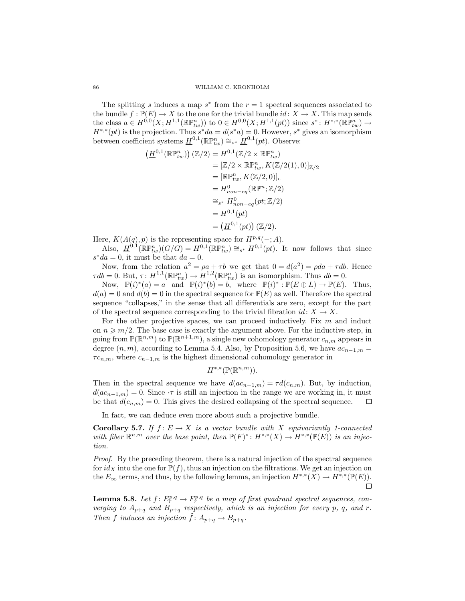The splitting s induces a map  $s^*$  from the  $r = 1$  spectral sequences associated to the bundle  $f : \mathbb{P}(E) \to X$  to the one for the trivial bundle  $id: X \to X$ . This map sends the class  $a \in H^{0,0}(X; H^{1,1}(\mathbb{R}\mathbb{P}^n_{tw}))$  to  $0 \in H^{0,0}(X; H^{1,1}(pt))$  since  $s^* \colon H^{*,*}(\mathbb{R}\mathbb{P}^n_{tw}) \to$  $H^{*,*}(pt)$  is the projection. Thus  $s^*da = d(s^*a) = 0$ . However,  $s^*$  gives an isomorphism between coefficient systems  $\underline{H}^{0,1}(\mathbb{R}\mathbb{P}^n_{tw}) \cong_{s^*} \underline{H}^{0,1}(pt)$ . Observe:

$$
(H^{0,1}(\mathbb{R}\mathbb{P}_{tw}^{n}))(\mathbb{Z}/2) = H^{0,1}(\mathbb{Z}/2 \times \mathbb{R}\mathbb{P}_{tw}^{n})
$$
  
\n
$$
= [\mathbb{Z}/2 \times \mathbb{R}\mathbb{P}_{tw}^{n}, K(\mathbb{Z}/2(1), 0)]_{\mathbb{Z}/2}
$$
  
\n
$$
= [\mathbb{R}\mathbb{P}_{tw}^{n}, K(\mathbb{Z}/2, 0)]_{e}
$$
  
\n
$$
= H^{0}_{non-eq}(\mathbb{R}\mathbb{P}^{n}; \mathbb{Z}/2)
$$
  
\n
$$
\cong_{s^{*}} H^{0}_{non-eq}(pt; \mathbb{Z}/2)
$$
  
\n
$$
= H^{0,1}(pt)
$$
  
\n
$$
= (\underline{H}^{0,1}(pt))(\mathbb{Z}/2).
$$

Here,  $K(A(q), p)$  is the representing space for  $H^{p,q}(-; \underline{A})$ .

Also,  $H^{0,1}(\mathbb{R}\mathbb{P}^n_{tw})(G/\tilde{G})=H^{0,1}(\mathbb{R}\mathbb{P}^n_{tw})\cong_{s^*} H^{0,1}(pt)$ . It now follows that since  $s^*da = 0$ , it must be that  $da = 0$ .

Now, from the relation  $a^2 = \rho a + \tau b$  we get that  $0 = d(a^2) = \rho da + \tau db$ . Hence  $\tau db = 0$ . But,  $\tau \colon \underline{H}^{1,1}(\mathbb{R} \mathbb{P}^n_{tw}) \to \underline{H}^{1,2}(\mathbb{R} \mathbb{P}^n_{tw})$  is an isomorphism. Thus  $db = 0$ .

Now,  $\mathbb{P}(i)^*(a) = a$  and  $\mathbb{P}(i)^*(b) = b$ , where  $\mathbb{P}(i)^* : \mathbb{P}(E \oplus L) \to \mathbb{P}(E)$ . Thus,  $d(a) = 0$  and  $d(b) = 0$  in the spectral sequence for  $\mathbb{P}(E)$  as well. Therefore the spectral sequence "collapses," in the sense that all differentials are zero, except for the part of the spectral sequence corresponding to the trivial fibration  $id: X \to X$ .

For the other projective spaces, we can proceed inductively. Fix  $m$  and induct on  $n \geqslant m/2$ . The base case is exactly the argument above. For the inductive step, in going from  $\mathbb{P}(\mathbb{R}^{n,m})$  to  $\mathbb{P}(\mathbb{R}^{n+1,m})$ , a single new cohomology generator  $c_{n,m}$  appears in degree  $(n, m)$ , according to Lemma 5.4. Also, by Proposition 5.6, we have  $ac_{n-1,m} =$  $\tau c_{n,m}$ , where  $c_{n-1,m}$  is the highest dimensional cohomology generator in

$$
H^{*,*}(\mathbb{P}(\mathbb{R}^{n,m})).
$$

Then in the spectral sequence we have  $d(ac_{n-1,m}) = \tau d(c_{n,m})$ . But, by induction,  $d(ac_{n-1,m}) = 0$ . Since  $\tau$  is still an injection in the range we are working in, it must be that  $d(c_{n,m}) = 0$ . This gives the desired collapsing of the spectral sequence.  $\Box$ 

In fact, we can deduce even more about such a projective bundle.

**Corollary 5.7.** If  $f: E \to X$  is a vector bundle with X equivariantly 1-connected with fiber  $\mathbb{R}^{n,m}$  over the base point, then  $\mathbb{P}(F)^* \colon H^{*,*}(X) \to H^{*,*}(\mathbb{P}(E))$  is an injection.

Proof. By the preceding theorem, there is a natural injection of the spectral sequence for  $id_X$  into the one for  $\mathbb{P}(f)$ , thus an injection on the filtrations. We get an injection on the  $E_{\infty}$  terms, and thus, by the following lemma, an injection  $H^{*,*}(X) \to H^{*,*}(\mathbb{P}(E)).$  $\Box$ 

**Lemma 5.8.** Let  $f: E_r^{p,q} \to F_r^{p,q}$  be a map of first quadrant spectral sequences, converging to  $A_{p+q}$  and  $B_{p+q}$  respectively, which is an injection for every p, q, and r. Then f induces an injection  $\hat{f} : A_{p+q} \to B_{p+q}$ .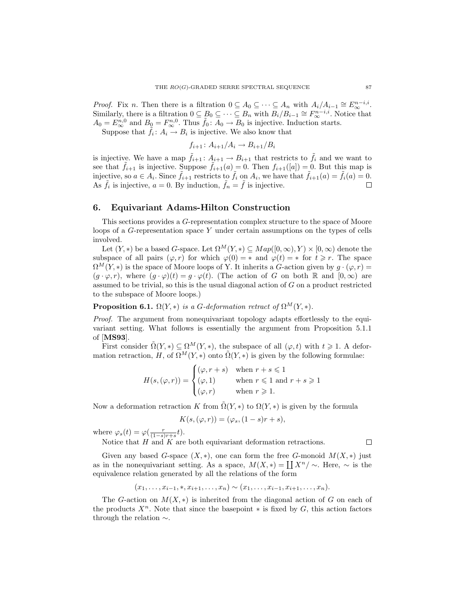*Proof.* Fix n. Then there is a filtration  $0 \subseteq A_0 \subseteq \cdots \subseteq A_n$  with  $A_i/A_{i-1} \cong E_{\infty}^{n-i,i}$ . Similarly, there is a filtration  $0 \subseteq B_0 \subseteq \cdots \subseteq B_n$  with  $\overline{B_i/B_{i-1}} \cong F_{\infty}^{n-i,i}$ . Notice that  $A_0 = E_{\infty}^{n,0}$  and  $B_0 = F_{\infty}^{n,0}$ . Thus  $\tilde{f}_0 : \overline{A_0 \to B_0}$  is injective. Induction starts.

Suppose that  $\tilde{f}_i: A_i \to B_i$  is injective. We also know that

$$
f_{i+1} \colon A_{i+1}/A_i \to B_{i+1}/B_i
$$

is injective. We have a map  $f_{i+1}: A_{i+1} \to B_{i+1}$  that restricts to  $f_i$  and we want to see that  $\tilde{f}_{i+1}$  is injective. Suppose  $\tilde{f}_{i+1}(a) = 0$ . Then  $f_{i+1}([a]) = 0$ . But this map is injective, so  $a \in A_i$ . Since  $\tilde{f}_{i+1}$  restricts to  $\tilde{f}_i$  on  $A_i$ , we have that  $\tilde{f}_{i+1}(a) = \tilde{f}_i(a) = 0$ . As  $\tilde{f}_i$  is injective,  $a = 0$ . By induction,  $\tilde{f}_n = \tilde{f}$  is injective.  $\Box$ 

#### 6. Equivariant Adams-Hilton Construction

This sections provides a G-representation complex structure to the space of Moore loops of a G-representation space Y under certain assumptions on the types of cells involved.

Let  $(Y, *)$  be a based G-space. Let  $\Omega^M(Y, *) \subseteq Map([0, \infty), Y) \times [0, \infty)$  denote the subspace of all pairs  $(\varphi, r)$  for which  $\varphi(0) = *$  and  $\varphi(t) = *$  for  $t \geq r$ . The space  $\Omega^M(Y,*)$  is the space of Moore loops of Y. It inherits a G-action given by  $q \cdot (\varphi,r)$  $(g \cdot \varphi, r)$ , where  $(g \cdot \varphi)(t) = g \cdot \varphi(t)$ . (The action of G on both R and  $[0, \infty)$  are assumed to be trivial, so this is the usual diagonal action of  $G$  on a product restricted to the subspace of Moore loops.)

**Proposition 6.1.**  $\Omega(Y, *)$  is a G-deformation retract of  $\Omega^M(Y, *)$ .

Proof. The argument from nonequivariant topology adapts effortlessly to the equivariant setting. What follows is essentially the argument from Proposition 5.1.1 of [MS93].

First consider  $\tilde{\Omega}(Y,*)\subseteq \Omega^M(Y,*)$ , the subspace of all  $(\varphi,t)$  with  $t\geqslant 1$ . A deformation retraction, H, of  $\Omega^M(Y,*)$  onto  $\tilde{\Omega}(Y,*)$  is given by the following formulae:  $\frac{1}{2}$ 

$$
H(s,(\varphi,r)) = \begin{cases} (\varphi, r+s) & \text{when } r+s \leq 1\\ (\varphi, 1) & \text{when } r \leq 1 \text{ and } r+s \geq 1\\ (\varphi, r) & \text{when } r \geq 1. \end{cases}
$$

Now a deformation retraction K from  $\Omega(Y, *)$  to  $\Omega(Y, *)$  is given by the formula

$$
K(s, (\varphi, r)) = (\varphi_s, (1 - s)r + s),
$$

where  $\varphi_s(t) = \varphi(\frac{r}{(1-s)r+s}t)$ .

Notice that  $H$  and  $K$  are both equivariant deformation retractions.

 $\Box$ 

Given any based G-space  $(X, *)$ , one can form the free G-monoid  $M(X, *)$  just Given any based G-space  $(X, *)$ , one can form the free G-monoid  $M(X, *)$  just<br>as in the nonequivariant setting. As a space,  $M(X, *) = [[X^n / \sim]$ . Here,  $\sim$  is the equivalence relation generated by all the relations of the form

$$
(x_1, \ldots, x_{i-1}, \ast, x_{i+1}, \ldots, x_n) \sim (x_1, \ldots, x_{i-1}, x_{i+1}, \ldots, x_n).
$$

The G-action on  $M(X, *)$  is inherited from the diagonal action of G on each of the products  $X^n$ . Note that since the basepoint \* is fixed by G, this action factors through the relation ∼.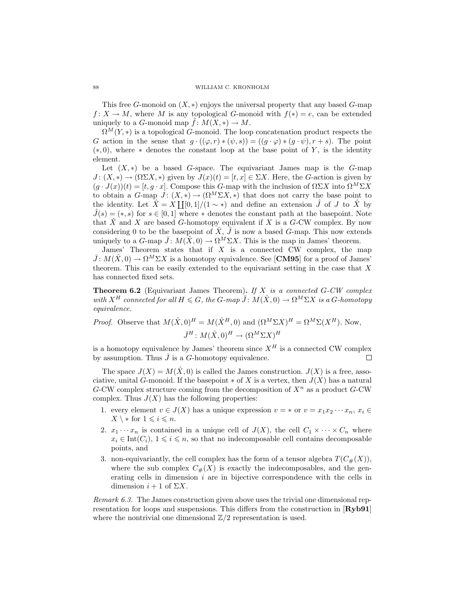This free G-monoid on  $(X, *)$  enjoys the universal property that any based G-map  $f: X \to M$ , where M is any topological G-monoid with  $f(*) = e$ , can be extended uniquely to a G-monoid map  $\tilde{f}: M(X, *) \to M$ .

 $\Omega^{M}(Y,*)$  is a topological G-monoid. The loop concatenation product respects the G action in the sense that  $g \cdot ((\varphi, r) * (\psi, s)) = ((g \cdot \varphi) * (g \cdot \psi), r + s)$ . The point  $(*, 0)$ , where  $*$  denotes the constant loop at the base point of Y, is the identity element.

Let  $(X, *)$  be a based G-space. The equivariant James map is the G-map  $J: (X, *) \to (\Omega \Sigma X, *)$  given by  $J(x)(t) = [t, x] \in \Sigma X$ . Here, the G-action is given by  $(g \cdot J(x))(t) = [t, g \cdot x]$ . Compose this G-map with the inclusion of  $\Omega \Sigma X$  into  $\Omega^M \Sigma X$ to obtain a G-map  $J: (X, *) \to (\Omega^M \Sigma X, *)$  that does not carry the base point to to obtain a G-map  $J: (X, *) \to (Y - ZX, *)$  that does not carry the base point to<br>the identity. Let  $\hat{X} = X \coprod (0,1) / (1 \sim *)$  and define an extension  $\hat{J}$  of  $J$  to  $\hat{X}$  by  $\hat{J}(s) = (*, s)$  for  $s \in [0, 1]$  where  $*$  denotes the constant path at the basepoint. Note that  $\hat{X}$  and X are based G-homotopy equivalent if X is a G-CW complex. By now considering 0 to be the basepoint of  $\hat{X}, \hat{J}$  is now a based G-map. This now extends uniquely to a G-map  $\bar{J}: M(\hat{X},0) \to \Omega^M \Sigma X$ . This is the map in James' theorem.

James' Theorem states that if  $X$  is a connected CW complex, the map  $\bar{J}: M(\hat{X},0) \to \Omega^M \Sigma X$  is a homotopy equivalence. See [**CM95**] for a proof of James' theorem. This can be easily extended to the equivariant setting in the case that  $X$ has connected fixed sets.

**Theorem 6.2** (Equivariant James Theorem). If X is a connected  $G-CW$  complex with  $X^H$  connected for all  $H \leq G$ , the G-map  $\overline{J}: M(\hat{X},0) \to \Omega^M \Sigma X$  is a G-homotopy equivalence.

*Proof.* Observe that  $M(\hat{X}, 0)^H = M(\hat{X}^H, 0)$  and  $(\Omega^M \Sigma X)^H = \Omega^M \Sigma (X^H)$ . Now,  $\bar{J}^H \colon M(\hat{X},0)^H \to (\Omega^M \Sigma X)^H$ 

is a homotopy equivalence by James' theorem since  $X^H$  is a connected CW complex by assumption. Thus  $\bar{J}$  is a G-homotopy equivalence. П

The space  $J(X) = M(\hat{X}, 0)$  is called the James construction.  $J(X)$  is a free, associative, unital G-monoid. If the basepoint  $*$  of X is a vertex, then  $J(X)$  has a natural G-CW complex structure coming from the decomposition of  $X^n$  as a product G-CW complex. Thus  $J(X)$  has the following properties:

- 1. every element  $v \in J(X)$  has a unique expression  $v = *$  or  $v = x_1x_2 \cdots x_n$ ,  $x_i \in$  $X \setminus *$  for  $1 \leqslant i \leqslant n$ .
- 2.  $x_1 \cdots x_n$  is contained in a unique cell of  $J(X)$ , the cell  $C_1 \times \cdots \times C_n$  where  $x_i \in \text{Int}(C_i)$ ,  $1 \leq i \leq n$ , so that no indecomposable cell contains decomposable points, and
- 3. non-equivariantly, the cell complex has the form of a tensor algebra  $T(C_{\#}(X)),$ where the sub complex  $C_{\#}(X)$  is exactly the indecomposables, and the generating cells in dimension i are in bijective correspondence with the cells in dimension  $i + 1$  of  $\Sigma X$ .

Remark 6.3. The James construction given above uses the trivial one dimensional representation for loops and suspensions. This differs from the construction in [Ryb91] where the nontrivial one dimensional  $\mathbb{Z}/2$  representation is used.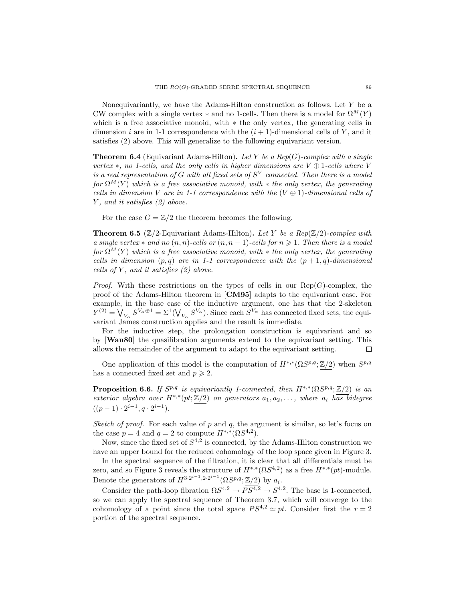Nonequivariantly, we have the Adams-Hilton construction as follows. Let  $Y$  be a CW complex with a single vertex  $*$  and no 1-cells. Then there is a model for  $\Omega^M(Y)$ which is a free associative monoid, with ∗ the only vertex, the generating cells in dimension i are in 1-1 correspondence with the  $(i + 1)$ -dimensional cells of Y, and it satisfies (2) above. This will generalize to the following equivariant version.

**Theorem 6.4** (Equivariant Adams-Hilton). Let Y be a Rep(G)-complex with a single vertex  $\ast$ , no 1-cells, and the only cells in higher dimensions are  $V \oplus 1$ -cells where V is a real representation of G with all fixed sets of  $S^V$  connected. Then there is a model for  $\Omega^M(Y)$  which is a free associative monoid, with  $*$  the only vertex, the generating cells in dimension V are in 1-1 correspondence with the  $(V \oplus 1)$ -dimensional cells of Y, and it satisfies (2) above.

For the case  $G = \mathbb{Z}/2$  the theorem becomes the following.

**Theorem 6.5** ( $\mathbb{Z}/2$ -Equivariant Adams-Hilton). Let Y be a Rep( $\mathbb{Z}/2$ )-complex with a single vertex  $*$  and no  $(n, n)$ -cells or  $(n, n - 1)$ -cells for  $n \geq 1$ . Then there is a model for  $\Omega^M(Y)$  which is a free associative monoid, with \* the only vertex, the generating cells in dimension  $(p, q)$  are in 1-1 correspondence with the  $(p + 1, q)$ -dimensional cells of Y, and it satisfies  $(2)$  above.

*Proof.* With these restrictions on the types of cells in our  $\text{Rep}(G)$ -complex, the proof of the Adams-Hilton theorem in [CM95] adapts to the equivariant case. For example, in the base case of the inductive argument, one has that the 2-skeleton example,<br> $Y^{(2)} = \bigvee$ in the base case<br> $V_{\alpha} S^{V_{\alpha} \oplus 1} = \Sigma^1(\bigvee$  $V_{\alpha}$   $S^{V_{\alpha}}$ ). Since each  $S^{V_{\alpha}}$  has connected fixed sets, the equivariant James construction applies and the result is immediate.

For the inductive step, the prolongation construction is equivariant and so by [Wan80] the quasifibration arguments extend to the equivariant setting. This allows the remainder of the argument to adapt to the equivariant setting.  $\Box$ 

One application of this model is the computation of  $H^{*,*}(\Omega S^{p,q}; \mathbb{Z}/2)$  when  $S^{p,q}$ has a connected fixed set and  $p \geq 2$ .

**Proposition 6.6.** If  $S^{p,q}$  is equivariantly 1-connected, then  $H^{*,*}(\Omega S^{p,q}; \mathbb{Z}/2)$  is an exterior algebra over  $H^{*,*}(pt;\mathbb{Z}/2)$  on generators  $a_1, a_2, \ldots$ , where  $a_i$  has bidegree  $((p-1)\cdot 2^{i-1}, q \cdot 2^{i-1}).$ 

Sketch of proof. For each value of p and q, the argument is similar, so let's focus on the case  $p = 4$  and  $q = 2$  to compute  $H^{*,*}(\Omega S^{4,2})$ .

Now, since the fixed set of  $S^{4,2}$  is connected, by the Adams-Hilton construction we have an upper bound for the reduced cohomology of the loop space given in Figure 3.

In the spectral sequence of the filtration, it is clear that all differentials must be zero, and so Figure 3 reveals the structure of  $H^{*,*}(\Omega S^{4,2})$  as a free  $H^{*,*}(pt)$ -module. Denote the generators of  $H^{3 \cdot 2^{i-1}, 2 \cdot 2^{i-1}}(\Omega S^{p,q}; \mathbb{Z}/2)$  by  $a_i$ .

Consider the path-loop fibration  $\Omega S^{4,2} \to PS^{4,2} \to S^{4,2}$ . The base is 1-connected, so we can apply the spectral sequence of Theorem 3.7, which will converge to the cohomology of a point since the total space  $PS^{4,2} \simeq pt$ . Consider first the  $r = 2$ portion of the spectral sequence.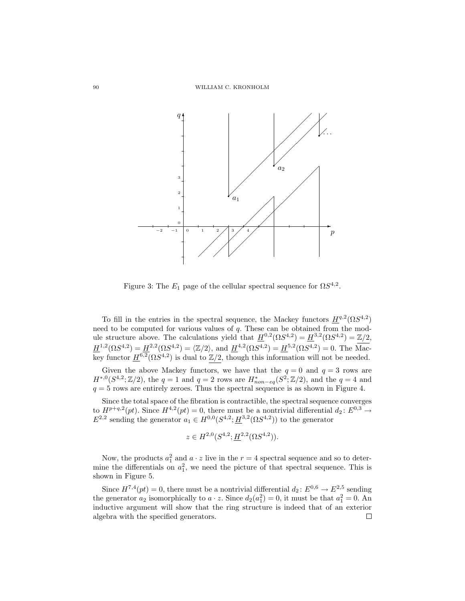

Figure 3: The  $E_1$  page of the cellular spectral sequence for  $\Omega S^{4,2}$ .

To fill in the entries in the spectral sequence, the Mackey functors  $H^{q,2}(\Omega S^{4,2})$ need to be computed for various values of  $q$ . These can be obtained from the module structure above. The calculations yield that  $\underline{H}^{0,2}(\Omega S^{4,2}) = \underline{H}^{3,2}(\Omega S^{4,2}) = \mathbb{Z}/2$ ,  $\underline{H}^{1,2}(\Omega S^{4,2}) = \underline{H}^{2,2}(\Omega S^{4,2}) = \langle \mathbb{Z}/2 \rangle$ , and  $\underline{H}^{4,2}(\Omega S^{4,2}) = \underline{H}^{5,2}(\Omega S^{4,2}) = 0$ . The Mackey functor  $\underline{H}^{6,2}(\Omega S^{4,2})$  is dual to  $\mathbb{Z}/2$ , though this information will not be needed.

Given the above Mackey functors, we have that the  $q = 0$  and  $q = 3$  rows are  $H^{*,0}(S^{4,2};\mathbb{Z}/2)$ , the  $q=1$  and  $q=2$  rows are  $H^{*}_{non-eq}(S^2;\mathbb{Z}/2)$ , and the  $q=4$  and  $q = 5$  rows are entirely zeroes. Thus the spectral sequence is as shown in Figure 4.

Since the total space of the fibration is contractible, the spectral sequence converges to  $H^{p+q,2}(pt)$ . Since  $H^{4,2}(pt) = 0$ , there must be a nontrivial differential  $d_2: E^{0,3} \to$  $E^{2,2}$  sending the generator  $a_1 \in H^{0,0}(S^{4,2}; \underline{H}^{3,2}(\Omega S^{4,2}))$  to the generator

$$
z \in H^{2,0}(S^{4,2}; \underline{H}^{2,2}(\Omega S^{4,2})).
$$

Now, the products  $a_1^2$  and  $a \cdot z$  live in the  $r = 4$  spectral sequence and so to determine the differentials on  $a_1^2$ , we need the picture of that spectral sequence. This is shown in Figure 5.

Since  $H^{7,4}(pt) = 0$ , there must be a nontrivial differential  $d_2: E^{0,6} \to E^{2,5}$  sending the generator  $a_2$  isomorphically to  $a \cdot z$ . Since  $d_2(a_1^2) = 0$ , it must be that  $a_1^2 = 0$ . An inductive argument will show that the ring structure is indeed that of an exterior algebra with the specified generators.П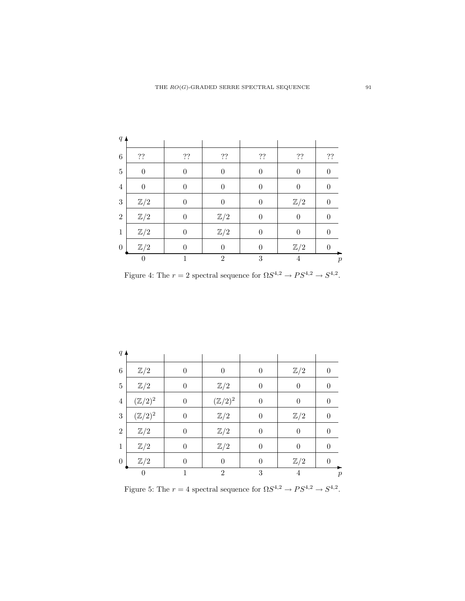| $q \triangle$    |                  |                  |                  |                  |                |                  |
|------------------|------------------|------------------|------------------|------------------|----------------|------------------|
| 6                | ??               | ??               | ??               | ??               | ??             | ??               |
| $\overline{5}$   | $\boldsymbol{0}$ | $\boldsymbol{0}$ | $\boldsymbol{0}$ | $\overline{0}$   | $\overline{0}$ | $\boldsymbol{0}$ |
| $\overline{4}$   | $\overline{0}$   | $\overline{0}$   | $\overline{0}$   | $\boldsymbol{0}$ | $\overline{0}$ | $\overline{0}$   |
| $\sqrt{3}$       | $\mathbb{Z}/2$   | $\theta$         | $\overline{0}$   | $\boldsymbol{0}$ | $\mathbb{Z}/2$ | $\overline{0}$   |
| $\overline{2}$   | $\mathbb{Z}/2$   | $\overline{0}$   | $\mathbb{Z}/2$   | $\overline{0}$   | $\overline{0}$ | $\overline{0}$   |
| $\mathbf{1}$     | $\mathbb{Z}/2$   | $\boldsymbol{0}$ | $\mathbb{Z}/2$   | $\boldsymbol{0}$ | $\overline{0}$ | $\boldsymbol{0}$ |
| $\boldsymbol{0}$ | $\mathbb{Z}/2$   | $\theta$         | $\overline{0}$   | $\overline{0}$   | $\mathbb{Z}/2$ | $\theta$         |
|                  | $\theta$         |                  | $\overline{2}$   | 3                | 4              | р                |

Figure 4: The  $r = 2$  spectral sequence for  $\Omega S^{4,2} \to PS^{4,2} \to S^{4,2}$ .

| $q$ $\blacktriangle$ |                    |                  |                    |                  |                |                  |
|----------------------|--------------------|------------------|--------------------|------------------|----------------|------------------|
| $\,6$                | $\mathbb{Z}/2$     | $\theta$         | $\boldsymbol{0}$   | $\boldsymbol{0}$ | $\mathbb{Z}/2$ | $\boldsymbol{0}$ |
| $\overline{5}$       | $\mathbb{Z}/2$     | $\boldsymbol{0}$ | $\mathbb{Z}/2$     | $\overline{0}$   | $\overline{0}$ | $\overline{0}$   |
| $\overline{4}$       | $(\mathbb{Z}/2)^2$ | $\boldsymbol{0}$ | $(\mathbb{Z}/2)^2$ | $\boldsymbol{0}$ | $\overline{0}$ | $\boldsymbol{0}$ |
| 3                    | $(\mathbb{Z}/2)^2$ | $\overline{0}$   | $\mathbb{Z}/2$     | $\overline{0}$   | $\mathbb{Z}/2$ | $\overline{0}$   |
| $\overline{2}$       | $\mathbb{Z}/2$     | $\boldsymbol{0}$ | $\mathbb{Z}/2$     | $\overline{0}$   | $\overline{0}$ | $\overline{0}$   |
| 1                    | $\mathbb{Z}/2$     | $\boldsymbol{0}$ | $\mathbb{Z}/2$     | $\boldsymbol{0}$ | $\overline{0}$ | $\boldsymbol{0}$ |
| $\boldsymbol{0}$     | $\mathbb{Z}/2$     | $\theta$         | $\overline{0}$     | $\boldsymbol{0}$ | $\mathbb{Z}/2$ | $\overline{0}$   |
|                      | 0                  | 1                | $\overline{2}$     | 3                | 4              | $\overline{p}$   |

Figure 5: The  $r = 4$  spectral sequence for  $\Omega S^{4,2} \to PS^{4,2} \to S^{4,2}$ .